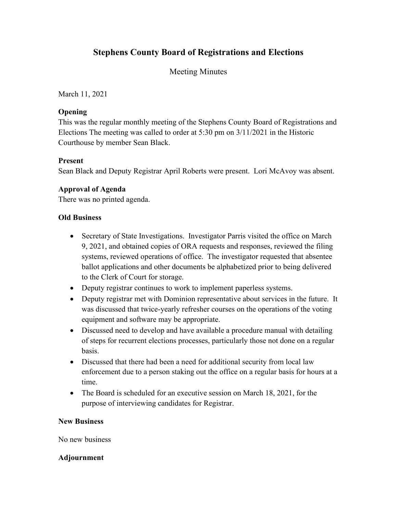# **Stephens County Board of Registrations and Elections**

## Meeting Minutes

March 11, 2021

## **Opening**

This was the regular monthly meeting of the Stephens County Board of Registrations and Elections The meeting was called to order at 5:30 pm on 3/11/2021 in the Historic Courthouse by member Sean Black.

## **Present**

Sean Black and Deputy Registrar April Roberts were present. Lori McAvoy was absent.

## **Approval of Agenda**

There was no printed agenda.

## **Old Business**

- Secretary of State Investigations. Investigator Parris visited the office on March 9, 2021, and obtained copies of ORA requests and responses, reviewed the filing systems, reviewed operations of office. The investigator requested that absentee ballot applications and other documents be alphabetized prior to being delivered to the Clerk of Court for storage.
- Deputy registrar continues to work to implement paperless systems.
- Deputy registrar met with Dominion representative about services in the future. It was discussed that twice-yearly refresher courses on the operations of the voting equipment and software may be appropriate.
- Discussed need to develop and have available a procedure manual with detailing of steps for recurrent elections processes, particularly those not done on a regular basis.
- Discussed that there had been a need for additional security from local law enforcement due to a person staking out the office on a regular basis for hours at a time.
- The Board is scheduled for an executive session on March 18, 2021, for the purpose of interviewing candidates for Registrar.

#### **New Business**

No new business

## **Adjournment**